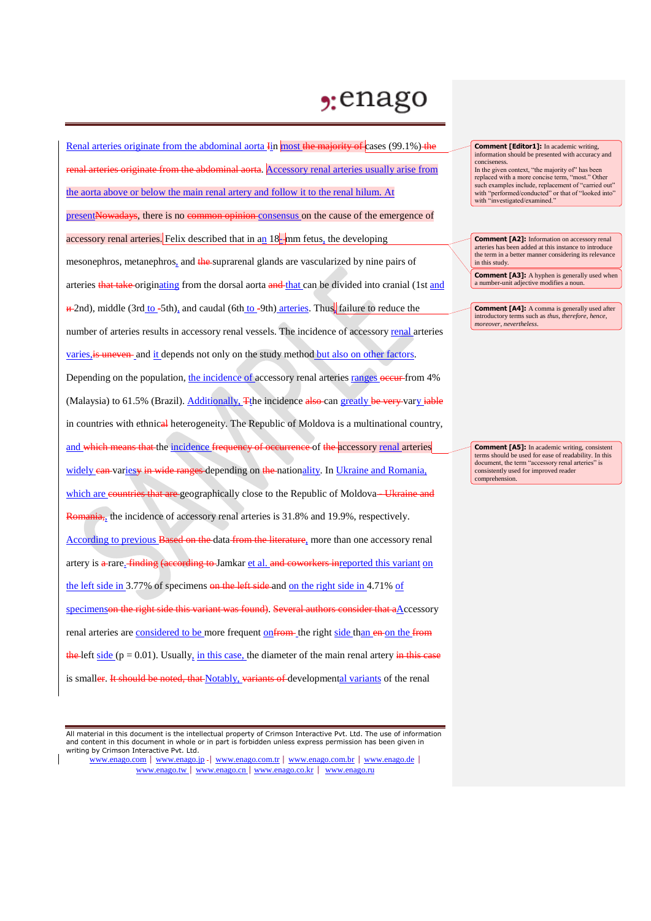## $2:$ enago

Renal arteries originate from the abdominal aorta Iin most the majority of cases (99.1%) the riginate from the abdominal aorta. Accessory renal arteries usually arise from the aorta above or below the main renal artery and follow it to the renal hilum. At presentNowadays, there is no common opinion consensus on the cause of the emergence of accessory renal arteries. Felix described that in an 18-<sub>mm</sub> fetus, the developing mesonephros, metanephros, and the suprarenal glands are vascularized by nine pairs of arteries that take originating from the dorsal aorta and that can be divided into cranial (1st and  $\#$ 2nd), middle (3rd to -5th), and caudal (6th to -9th) arteries. Thus, failure to reduce the number of arteries results in accessory renal vessels. The incidence of accessory renal arteries varies, is uneven- and it depends not only on the study method but also on other factors. Depending on the population, the incidence of accessory renal arteries ranges occur from 4% (Malaysia) to 61.5% (Brazil). Additionally, The incidence also can greatly be very vary iable in countries with ethnical heterogeneity. The Republic of Moldova is a multinational country, and which means that the incidence frequency of occurrence of the accessory renal arteries widely can variesy in wide ranges depending on the nationality. In Ukraine and Romania, which are countries that are geographically close to the Republic of Moldova—Ukraine and Romania,, the incidence of accessory renal arteries is 31.8% and 19.9%, respectively. According to previous Based on the data from the literature, more than one accessory renal artery is a rare. finding (according to Jamkar et al. and coworkers inreported this variant on the left side in 3.77% of specimens on the left side and on the right side in 4.71% of specimenson the right side this variant was found). Several authors consider that aAccessory renal arteries are considered to be more frequent onfrom the right side than en on the from the left side ( $p = 0.01$ ). Usually, in this case, the diameter of the main renal artery in this case is smaller. It should be noted, that Notably, variants of developmental variants of the renal

All material in this document is the intellectual property of Crimson Interactive Pvt. Ltd. The use of information and content in this document in whole or in part is forbidden unless express permission has been given in writing by Crimson Interactive Pvt. Ltd.

www.enago.com | www.enago.jp - | www.enago.com.tr | www.enago.com.br | www.enago.de | www.enago.tw | www.enago.cn | www.enago.co.kr | www.enago.ru

**Comment [Editor1]:** In academic writing, information should be presented with accuracy and conciseness.

In the given context, "the majority of" has been replaced with a more concise term, "most." Other such examples include, replacement of "carried out" with "performed/conducted" or that of "looked into" with "investigated/examined."

**Comment [A2]:** Information on accessory renal arteries has been added at this instance to introduce the term in a better manner considering its relevance in this study.

**Comment [A3]:** A hyphen is generally used when a number-unit adjective modifies a noun.

**Comment [A4]:** A comma is generally used after introductory terms such as *thus*, *therefore*, *hence*, *moreover*, *nevertheless*.

**Comment [A5]:** In academic writing, consistent terms should be used for ease of readability. In this document, the term "accessory renal arteries" is consistently used for improved reader comprehension.